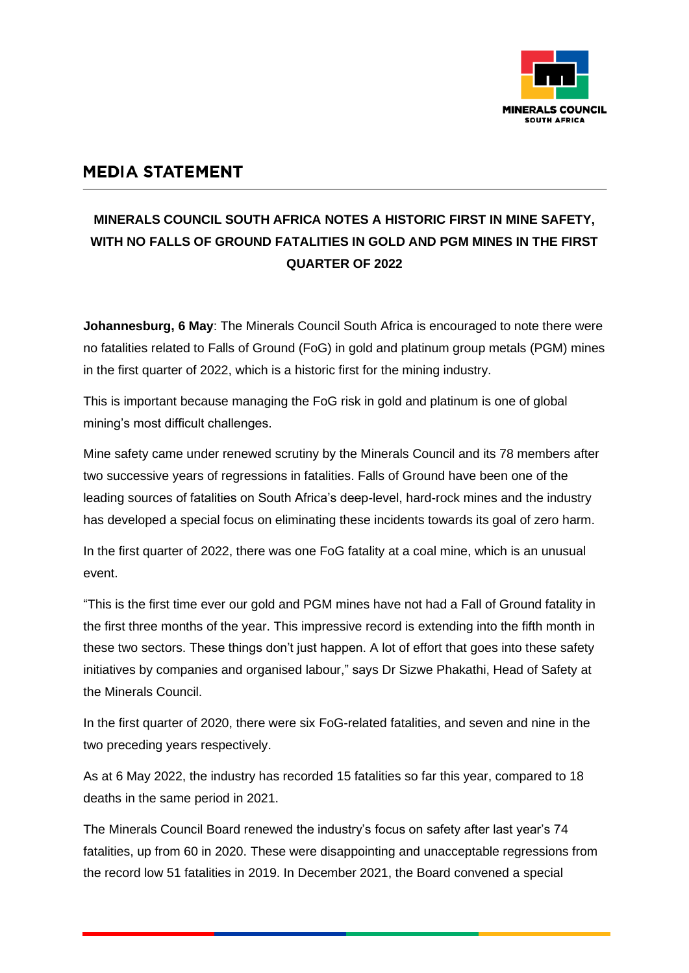

## **MEDIA STATEMENT**

## **MINERALS COUNCIL SOUTH AFRICA NOTES A HISTORIC FIRST IN MINE SAFETY, WITH NO FALLS OF GROUND FATALITIES IN GOLD AND PGM MINES IN THE FIRST QUARTER OF 2022**

**Johannesburg, 6 May**: The Minerals Council South Africa is encouraged to note there were no fatalities related to Falls of Ground (FoG) in gold and platinum group metals (PGM) mines in the first quarter of 2022, which is a historic first for the mining industry.

This is important because managing the FoG risk in gold and platinum is one of global mining's most difficult challenges.

Mine safety came under renewed scrutiny by the Minerals Council and its 78 members after two successive years of regressions in fatalities. Falls of Ground have been one of the leading sources of fatalities on South Africa's deep-level, hard-rock mines and the industry has developed a special focus on eliminating these incidents towards its goal of zero harm.

In the first quarter of 2022, there was one FoG fatality at a coal mine, which is an unusual event.

"This is the first time ever our gold and PGM mines have not had a Fall of Ground fatality in the first three months of the year. This impressive record is extending into the fifth month in these two sectors. These things don't just happen. A lot of effort that goes into these safety initiatives by companies and organised labour," says Dr Sizwe Phakathi, Head of Safety at the Minerals Council.

In the first quarter of 2020, there were six FoG-related fatalities, and seven and nine in the two preceding years respectively.

As at 6 May 2022, the industry has recorded 15 fatalities so far this year, compared to 18 deaths in the same period in 2021.

The Minerals Council Board renewed the industry's focus on safety after last year's 74 fatalities, up from 60 in 2020. These were disappointing and unacceptable regressions from the record low 51 fatalities in 2019. In December 2021, the Board convened a special